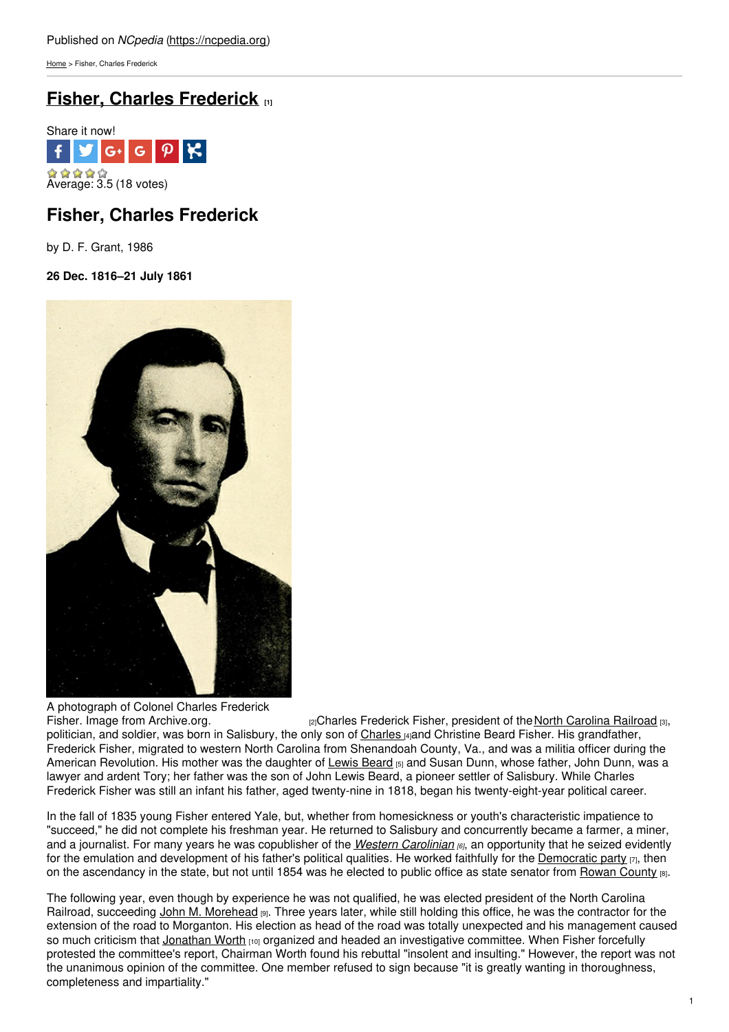[Home](https://ncpedia.org/) > Fisher, Charles Frederick

# **Fisher, Charles [Frederick](https://ncpedia.org/biography/fisher-charles-frederick) [1]**



## **Fisher, Charles Frederick**

by D. F. Grant, 1986

### **26 Dec. 1816–21 July 1861**



A photograph of Colonel Charles Frederick<br>Fisher. Image from Archive.org.

r<sub>2</sub>]Charles Frederick Fisher, president of the North [Carolina](http://www.ncrr.com/) Railroad [3], politician, and soldier, was born in Salisbury, the only son of [Charles](https://ncpedia.org/biography/fisher-charles) [4]and Christine Beard Fisher. His grandfather, Frederick Fisher, migrated to western North Carolina from Shenandoah County, Va., and was a militia officer during the American Revolution. His mother was the daughter of Lewis [Beard](https://ncpedia.org/biography/beard-lewis) [5] and Susan Dunn, whose father, John Dunn, was a lawyer and ardent Tory; her father was the son of John Lewis Beard, a pioneer settler of Salisbury. While Charles Frederick Fisher was still an infant his father, aged twenty-nine in 1818, began his twenty-eight-year political career.

In the fall of 1835 young Fisher entered Yale, but, whether from homesickness or youth's characteristic impatience to "succeed," he did not complete his freshman year. He returned to Salisbury and concurrently became a farmer, a miner, and a journalist. For many years he was copublisher of the *Western [Carolinian](https://ncpedia.org/western-carolinian) [6]*, an opportunity that he seized evidently for the emulation and development of his father's political qualities. He worked faithfully for the [Democratic](https://ncpedia.org/democratic-party) party  $\eta$ , then on the ascendancy in the state, but not until 1854 was he elected to public office as state senator from Rowan [County](https://ncpedia.org/geography/rowan) [8].

The following year, even though by experience he was not qualified, he was elected president of the North Carolina Railroad, succeeding John M. [Morehead](https://ncpedia.org/biography/morehead-john-motley) (9). Three years later, while still holding this office, he was the contractor for the extension of the road to Morganton. His election as head of the road was totally unexpected and his management caused so much criticism that [Jonathan](https://ncpedia.org/biography/worth-jonathan) Worth [10] organized and headed an investigative committee. When Fisher forcefully protested the committee's report, Chairman Worth found his rebuttal "insolent and insulting." However, the report was not the unanimous opinion of the committee. One member refused to sign because "it is greatly wanting in thoroughness, completeness and impartiality."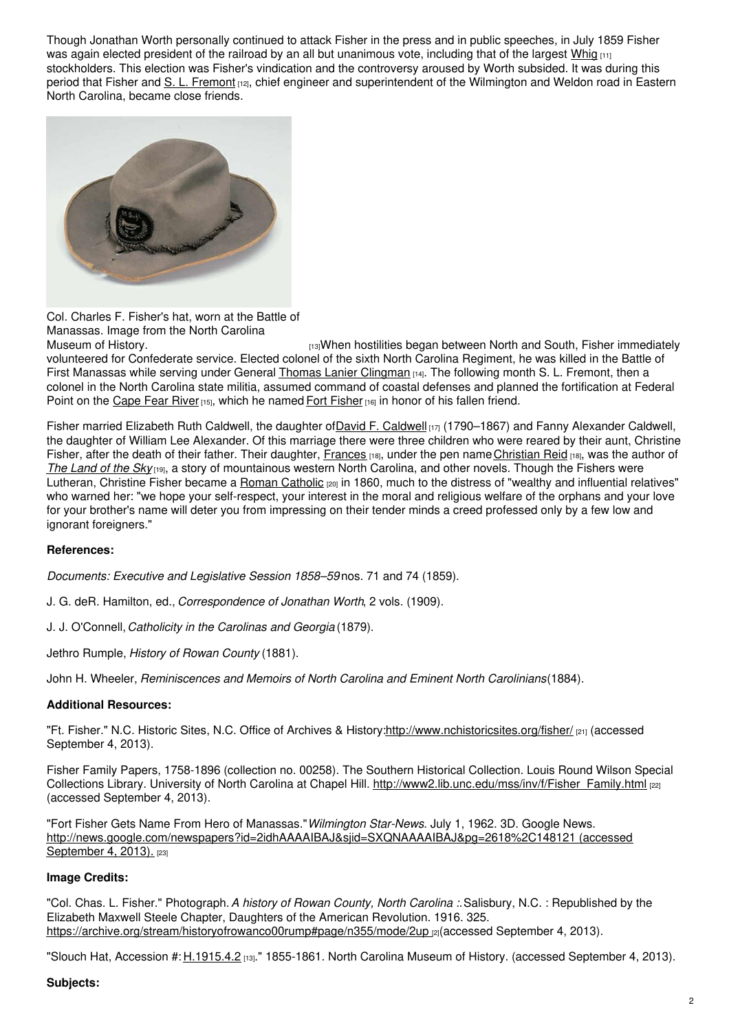Though Jonathan Worth personally continued to attack Fisher in the press and in public speeches, in July 1859 Fisher was again elected president of the railroad by an all but unanimous vote, including that of the largest [Whig](https://ncpedia.org/whig-party) [11] stockholders. This election was Fisher's vindication and the controversy aroused by Worth subsided. It was during this period that Fisher and S. L. [Fremont](https://ncpedia.org/biography/fremont-n%C3%A9e-fish-sewall) [12], chief engineer and superintendent of the Wilmington and Weldon road in Eastern North Carolina, became close friends.



Col. Charles F. Fisher's hat, worn at the Battle of Manassas. Image from the North Carolina

[13] When hostilities began between North and South, Fisher immediately volunteered for Confederate service. Elected colonel of the sixth North Carolina Regiment, he was killed in the Battle of First Manassas while serving under General Thomas Lanier [Clingman](https://ncpedia.org/biography/clingman-thomas-lanier) [14]. The following month S. L. Fremont, then a colonel in the North Carolina state militia, assumed command of coastal defenses and planned the fortification at Federal Point on the [Cape](https://ncpedia.org/rivers/cape-fear) Fear River [15], which he named Fort [Fisher](https://ncpedia.org/fort-fisher) [16] in honor of his fallen friend.

Fisher married Elizabeth Ruth [Caldwell](https://ncpedia.org/biography/caldwell-david-franklin-0), the daughter ofDavid F. Caldwell  $_{[17]}$  (1790–1867) and Fanny Alexander Caldwell, the daughter of William Lee Alexander. Of this marriage there were three children who were reared by their aunt, Christine Fisher, after the death of their father. Their daughter, [Frances](https://ncpedia.org/biography/tiernan-frances) [18], under the pen name [Christian](https://ncpedia.org/biography/tiernan-frances) Reid [18], was the author of *The [Land](https://ncpedia.org/land-sky) of the Sky* [19], a story of mountainous western North Carolina, and other novels. Though the Fishers were Lutheran, Christine Fisher became a Roman [Catholic](https://ncpedia.org/roman-catholic-church) <sub>[20]</sub> in 1860, much to the distress of "wealthy and influential relatives" who warned her: "we hope your self-respect, your interest in the moral and religious welfare of the orphans and your love for your brother's name will deter you from impressing on their tender minds a creed professed only by a few low and ignorant foreigners."

### **References:**

*Documents: Executive and Legislative Session 1858–59* nos. 71 and 74 (1859).

J. G. deR. Hamilton, ed., *Correspondence of Jonathan Worth*, 2 vols. (1909).

J. J. O'Connell,*Catholicity in the Carolinas and Georgia* (1879).

Jethro Rumple, *History of Rowan County* (1881).

John H. Wheeler, *Reminiscences and Memoirs of North Carolina and Eminent North Carolinians*(1884).

### **Additional Resources:**

"Ft. Fisher." N.C. Historic Sites, N.C. Office of Archives & History[:http://www.nchistoricsites.org/fisher/](http://www.nchistoricsites.org/fisher/) [21] (accessed September 4, 2013).

Fisher Family Papers, 1758-1896 (collection no. 00258). The Southern Historical Collection. Louis Round Wilson Special Collections Library. University of North Carolina at Chapel Hill. [http://www2.lib.unc.edu/mss/inv/f/Fisher\\_Family.html](http://www2.lib.unc.edu/mss/inv/f/Fisher_Family.html) [22] (accessed September 4, 2013).

"Fort Fisher Gets Name From Hero of Manassas."*Wilmington Star-News*. July 1, 1962. 3D. Google News. <http://news.google.com/newspapers?id=2idhAAAAIBAJ&sjid=SXQNAAAAIBAJ&pg=2618%2C148121> (accessed September 4, 2013). [23]

#### **Image Credits:**

"Col. Chas. L. Fisher." Photograph.*A history of Rowan County, North Carolina :.*Salisbury, N.C. : Republished by the Elizabeth Maxwell Steele Chapter, Daughters of the American Revolution. 1916. 325. <https://archive.org/stream/historyofrowanco00rump#page/n355/mode/2up> [2](accessed September 4, 2013).

"Slouch Hat, Accession #: [H.1915.4.2](http://collections.ncdcr.gov/RediscoveryProficioPublicSearch/ShowItem.aspx?48379+) [13]." 1855-1861. North Carolina Museum of History. (accessed September 4, 2013).

### **Subjects:**